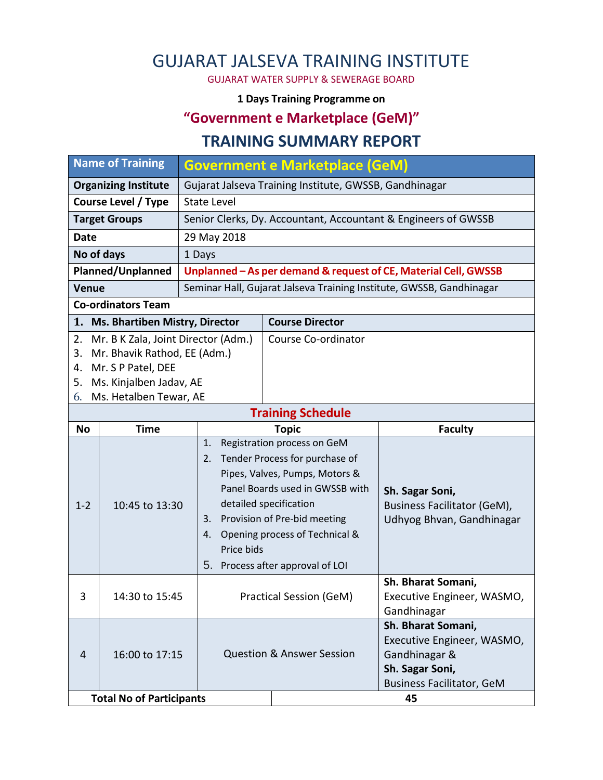# GUJARAT JALSEVA TRAINING INSTITUTE

GUJARAT WATER SUPPLY & SEWERAGE BOARD

#### **1 Days Training Programme on**

## **"Government e Marketplace (GeM)"**

### **TRAINING SUMMARY REPORT**

| <b>Name of Training</b>                   |                              | <b>Government e Marketplace (GeM)</b>                  |                                                                      |                                                                 |  |
|-------------------------------------------|------------------------------|--------------------------------------------------------|----------------------------------------------------------------------|-----------------------------------------------------------------|--|
| <b>Organizing Institute</b>               |                              | Gujarat Jalseva Training Institute, GWSSB, Gandhinagar |                                                                      |                                                                 |  |
| <b>Course Level / Type</b>                |                              | <b>State Level</b>                                     |                                                                      |                                                                 |  |
| <b>Target Groups</b>                      |                              |                                                        | Senior Clerks, Dy. Accountant, Accountant & Engineers of GWSSB       |                                                                 |  |
| <b>Date</b>                               |                              | 29 May 2018                                            |                                                                      |                                                                 |  |
| No of days                                |                              | 1 Days                                                 |                                                                      |                                                                 |  |
| Planned/Unplanned                         |                              |                                                        | Unplanned - As per demand & request of CE, Material Cell, GWSSB      |                                                                 |  |
| <b>Venue</b>                              |                              |                                                        | Seminar Hall, Gujarat Jalseva Training Institute, GWSSB, Gandhinagar |                                                                 |  |
| <b>Co-ordinators Team</b>                 |                              |                                                        |                                                                      |                                                                 |  |
| 1.<br>Ms. Bhartiben Mistry, Director      |                              |                                                        | <b>Course Director</b>                                               |                                                                 |  |
| Mr. B K Zala, Joint Director (Adm.)<br>2. |                              |                                                        | Course Co-ordinator                                                  |                                                                 |  |
| 3.                                        | Mr. Bhavik Rathod, EE (Adm.) |                                                        |                                                                      |                                                                 |  |
| Mr. S P Patel, DEE<br>4.                  |                              |                                                        |                                                                      |                                                                 |  |
| Ms. Kinjalben Jadav, AE<br>5.             |                              |                                                        |                                                                      |                                                                 |  |
| Ms. Hetalben Tewar, AE<br>6.              |                              |                                                        |                                                                      |                                                                 |  |
| <b>Training Schedule</b>                  |                              |                                                        |                                                                      |                                                                 |  |
| <b>No</b>                                 | <b>Time</b>                  |                                                        | <b>Topic</b>                                                         | <b>Faculty</b>                                                  |  |
| $1 - 2$                                   | 10:45 to 13:30               | 1.<br>2.                                               | Registration process on GeM<br>Tender Process for purchase of        |                                                                 |  |
|                                           |                              |                                                        | Pipes, Valves, Pumps, Motors &                                       |                                                                 |  |
|                                           |                              |                                                        | Panel Boards used in GWSSB with                                      |                                                                 |  |
|                                           |                              |                                                        | detailed specification                                               | Sh. Sagar Soni,                                                 |  |
|                                           |                              | 3.                                                     | Provision of Pre-bid meeting                                         | <b>Business Facilitator (GeM),</b><br>Udhyog Bhvan, Gandhinagar |  |
|                                           |                              | 4.                                                     | Opening process of Technical &                                       |                                                                 |  |
|                                           |                              | Price bids                                             |                                                                      |                                                                 |  |
|                                           |                              | 5.                                                     | Process after approval of LOI                                        |                                                                 |  |
|                                           |                              |                                                        |                                                                      | Sh. Bharat Somani,                                              |  |
| 3                                         | 14:30 to 15:45               |                                                        | Practical Session (GeM)                                              | Executive Engineer, WASMO,                                      |  |
|                                           |                              |                                                        |                                                                      | Gandhinagar                                                     |  |
|                                           |                              |                                                        |                                                                      | Sh. Bharat Somani,                                              |  |
| 4                                         | 16:00 to 17:15               |                                                        |                                                                      | Executive Engineer, WASMO,                                      |  |
|                                           |                              |                                                        | <b>Question &amp; Answer Session</b>                                 | Gandhinagar &                                                   |  |
|                                           |                              |                                                        |                                                                      | Sh. Sagar Soni,                                                 |  |
|                                           |                              |                                                        |                                                                      | <b>Business Facilitator, GeM</b>                                |  |
| <b>Total No of Participants</b>           |                              |                                                        |                                                                      | 45                                                              |  |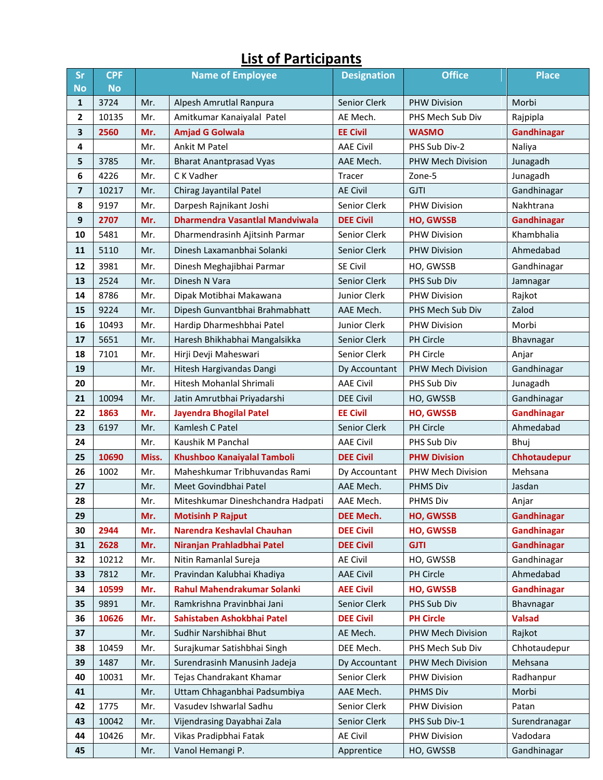#### **Sr No CPF No Name of Employee Designation Office Place** 3724 | Mr. | Alpesh Amrutlal Ranpura | Senior Clerk | PHW Division | Morbi | 10135 | Mr. | Amitkumar Kanaiyalal Patel | AE Mech. | PHS Mech Sub Div | Rajpipla **2560 Mr. Amjad G Golwala EE Civil WASMO Gandhinagar** Mr. Ankit M Patel AAE Civil PHS Sub Div-2 Naliya 3785 | Mr. | Bharat Anantprasad Vyas | AAE Mech. | PHW Mech Division | Junagadh 4226 | Mr. | C K Vadher **Tracer** | Zone-5 | Xone-5 Junagadh | 10217 | Mr. | Chirag Jayantilal Patel AE Civil | GJTI GJTI Gandhinagar 9197 | Mr. | Darpesh Rajnikant Joshi | Senior Clerk | PHW Division | Nakhtrana **2707 Mr. Dharmendra Vasantlal Mandviwala DEE Civil HO, GWSSB Gandhinagar** 5481 Mr. Dharmendrasinh Aiitsinh Parmar Senior Clerk PHW Division Khambhalia 5110 Mr. Dinesh Laxamanbhai Solanki Senior Clerk PHW Division Ahmedabad 3981 | Mr. | Dinesh Meghajibhai Parmar | SE Civil | HO, GWSSB | Gandhinagar | 2524 | Mr. | Dinesh N Vara Senior Clerk | PHS Sub Div | Jamnagar 8786 | Mr. | Dipak Motibhai Makawana | Junior Clerk | PHW Division | Rajkot 9224 Mr. Dipesh Gunvantbhai Brahmabhatt AAE Mech. PHS Mech Sub Div Zalod | 10493 | Mr. | Hardip Dharmeshbhai Patel | Junior Clerk | PHW Division | Morbi | 5651 | Mr. | Haresh Bhikhabhai Mangalsikka | Senior Clerk | PH Circle | Bhavnagar 7101 | Mr. | Hirji Devji Maheswari | Senior Clerk | PH Circle | Anjar Mr. | Hitesh Hargivandas Dangi | Dy Accountant | PHW Mech Division | Gandhinagar Mr. | Hitesh Mohanlal Shrimali | AAE Civil | PHS Sub Div | Junagadh | 10094 | Mr. | Jatin Amrutbhai Priyadarshi | DEE Civil | HO, GWSSB | Gandhinagar **1863 Mr. Jayendra Bhogilal Patel EE Civil HO, GWSSB Gandhinagar** | 6197 | Mr. | Kamlesh C Patel New Senior Clerk | PH Circle New Ahmedabad Mr. Kaushik M Panchal **AAE Civil PHS Sub Div** Bhui **10690 Miss. Khushboo Kanaiyalal Tamboli DEE Civil PHW Division Chhotaudepur** | 1002 | Mr. | Maheshkumar Tribhuvandas Rami | Dy Accountant | PHW Mech Division | Mehsana Mr. Meet Govindbhai Patel **AAE Mech. PHMS Div Jasdan**  Mr. Miteshkumar Dineshchandra Hadpati | AAE Mech. | PHMS Div | Anjar **Mr. Motisinh P Rajput DEE Mech. HO, GWSSB Gandhinagar 2944 Mr. Narendra Keshavlal Chauhan DEE Civil HO, GWSSB Gandhinagar 2628 Mr. Niranjan Prahladbhai Patel DEE Civil GJTI Gandhinagar** | 10212 | Mr. | Nitin Ramanlal Sureja | AE Civil | HO, GWSSB | Gandhinagar 7812 | Mr. | Pravindan Kalubhai Khadiya | AAE Civil | PH Circle | Ahmedabad **10599 Mr. Rahul Mahendrakumar Solanki AEE Civil HO, GWSSB Gandhinagar** 9891 | Mr. | Ramkrishna Pravinbhai Jani | Senior Clerk | PHS Sub Div | Bhavnagar **10626 Mr. Sahistaben Ashokbhai Patel DEE Civil PH Circle Valsad** Mr. Sudhir Narshibhai Bhut AE Mech. PHW Mech Division Rajkot | 10459 | Mr. | Surajkumar Satishbhai Singh | DEE Mech. | PHS Mech Sub Div | Chhotaudepur | 1487 | Mr. | Surendrasinh Manusinh Jadeia | Dy Accountant | PHW Mech Division | Mehsana | 10031 | Mr. | Tejas Chandrakant Khamar | Senior Clerk | PHW Division | Radhanpur Mr. Uttam Chhaganbhai Padsumbiya | AAE Mech. PHMS Div | Morbi | 1775 | Mr. | Vasudev Ishwarlal Sadhu | Senior Clerk | PHW Division | Patan | 10042 | Mr. | Vijendrasing Dayabhai Zala | Senior Clerk | PHS Sub Div-1 | Surendranagar | 10426 | Mr. | Vikas Pradipbhai Fatak | AE Civil | PHW Division | Vadodara Mr. Vanol Hemangi P. Apprentice HO, GWSSB Gandhinagar

### **List of Participants**